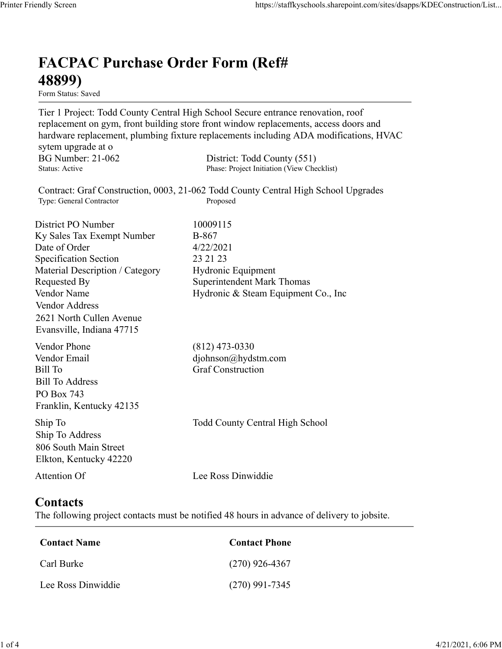## FACPAC Purchase Order Form (Ref# 48899)

Form Status: Saved

Tier 1 Project: Todd County Central High School Secure entrance renovation, roof replacement on gym, front building store front window replacements, access doors and hardware replacement, plumbing fixture replacements including ADA modifications, HVAC sytem upgrade at o https://staffkyschools.sharepoint.com/sites/dsapps/KDEConstructic<br> **FACPAC Purchase Order Form (Ref#**<br> **EFRICPAC Purchase Order Form (Ref#**<br>
Tier 1 Project: Todd County Central High School Secure entrance renovation, roof<br> https://staffkyschools.sharepoint.com/sites/dsapps/KDEConstructic<br> **FACPAC Purchase Order Form (Ref#**<br>
Form Status: Saved<br>
Form Status: Saved<br>
Tier 1 Project: Todd County Central High School Secure entrance renovation, roo Contract: Graf Construction, 0003, 21-062 Todd County Central High School Upgrades https://staffkyschools.sharepoint.com/sites/dsarps/KDFConstructic<br> **FACPAC Purchase Order Form (Ref#**<br>
Form Status: Saved<br>
Form Status: Saved<br>
Form Status: Saved<br>
Terpleicet: Todd County Central High School Secure entrance **FACPAC Purchase Order Form (Ref#**<br> **48899)**<br> **Form Status:** Saved<br>
Tier 1 Project: Todd County Central High School Sceure entrance renovation, roof<br>
replacement on gym, front building store front window replacements, acc **FACPAC Purchase Order Form (Ref#**<br> **48899)**<br>
Form Stanes<br>
Form Stanes<br>
Terr 1 Project: Todd County Central High School Secure entrance renovation, roof<br>
Teplacement on gym, front building store front window replacements, **FACPAC Purchase Order Form (Ref#** $\leftarrow$  **48899)**<br>
Form Status: Saved<br>
Tier 1 Project: Todd County Central High School Secure entrance renovation, roof<br>
replacement on gym, front building store front window replacements, acc **FACPAC Purchase Order Form (Ref#**<br> **48899)**<br>
Form Status: Saved<br>
Tier 1 Project: Todd County Central High School Secure entrance renovation, roof<br>
replacement on gym, front building store front window replacements, acces **FACPAC Purchase Order Form (Ref#**<br> **48899)**<br>
Form Status. Saved<br>
Terr 1 Project: Todd County Central High School Secure entrance renovation, roof<br>
Teplacement on gym, front building store front window replacements, acces **48899)**<br>
Form Status: Saved<br>
Tier 1 Project: Todd County Central High School Secure entrance renovation, roof<br>
replacement on gym, front building store front window replacements, access doors and<br>
hardware replacement, p **From States:**<br> **From States:**<br> **From States:**<br> **From States:**<br> **From States:**<br> **From States:**<br> **OFFICAL COMPUTE EXECUTE CONDITIES:**<br> **CONDITE EXECUTE ANCE there explacements including ADA modifications, HVAC<br>
bardware rep** Vendor Address 2621 North Cullen Avenue Evansville, Indiana 47715 nardware replacements, multimary and the system upgrade at o<br>sytem upgrade at o<br>sytem upgrade at o<br>BG Number: 21-062 District: Todd County (551)<br>Status: Active<br>Contract: Graf Construction, 0003, 21-062 Todd County Central sytem upgrade at o<br>
BG Number: 21-062 District: Todd County (551)<br>
Status: Active Phase: Project Initiation (View Checklist)<br>
Status: Active Phase: Project Initiation (View Checklist)<br>
Type: General Counter Phase: Project Bill Number: 21-062<br>
Bill Number<br>
Bill Static: Active<br>
Thus: Project Initiation (View Checkliss)<br>
Contract: Graf Construction, 0003, 21-062 Todd County Central High School Upgrades<br>
Type: General Contractor<br>
District PO Nu Bill To Address PO Box 743 Franklin, Kentucky 42135 District PO Number<br>
IS Ky Sales Tax Exempt Number<br>
IDate of Order<br>
Specification Section<br>
Specification Section<br>
Material Description / Category<br>
Hydronic Equipment<br>
Nendexted By<br>
Nendexted By<br>
Nendor Name<br>
Vendor Name<br>
Co Ship To Address 806 South Main Street Elkton, Kentucky 42220 Material Description / Category<br>
Requested By<br>
Requested By<br>
Nordor Name<br>
Vendor Address<br>
Vendor Address<br>
Despitement Co., Inc. Properties Construction Co., Inc. Properties Conservative Conservative Conservative Conservati **Contacts** The following project contacts must be notified 48 hours in advance of delivery to jobsite. Example The Contact School (812) 473-0330<br>
endor Email diohnson@hydstm.com<br>
iill To<br>
iill To<br>
Iill To<br>
Contact Construction<br>
In To Address<br>
In To<br>
O Box 743<br>
In To<br>
O Gouth Main Street<br>
Contact Rikho, Kentucky 42220<br>
Lee R Vendor Email<br>
iill To<br>
iill To<br>
iill To<br>
iill To<br>
Carl Burke (Star Burke (Star Burke Construction<br>
in Fo<br>
O Box 743<br>
In Fo<br>
Of South Main Street<br>
In To<br>
Of South Main Street<br>
iilkon, Kentucky 42220<br>
Itention Of<br>
Cee Ross D Sill To Address<br>
Co Box 743<br>
Tranklin, Kentucky 42135<br>
hip To<br>
Todd County Central High School<br>
Michigo To Address<br>
hip To Address<br>
Likton, Kentucky 42220<br>
Lee Ross Dinwiddie<br> **Contact Secure Ross Dinamiller**<br>
Contact Name

| Contact Name       | <b>Contact Phone</b> |
|--------------------|----------------------|
| Carl Burke         | $(270)$ 926-4367     |
| Lee Ross Dinwiddie | $(270)$ 991-7345     |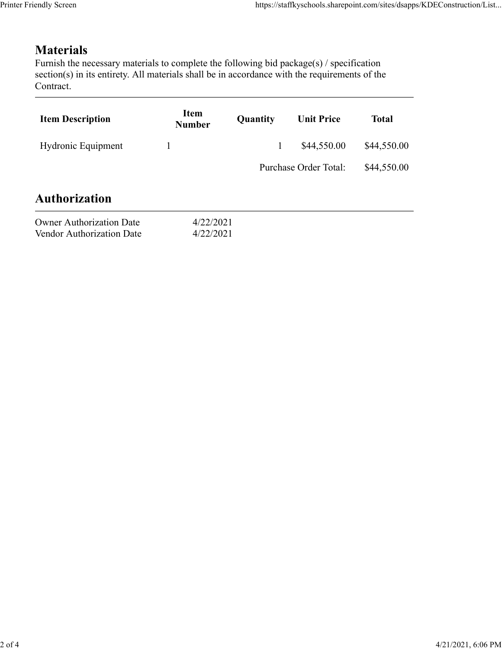## **Materials**

| endly Screen                                                                                                                                                                                                               |                              |              | https://staffkyschools.sharepoint.com/sites/dsapps/KDEConstruction/List |              |
|----------------------------------------------------------------------------------------------------------------------------------------------------------------------------------------------------------------------------|------------------------------|--------------|-------------------------------------------------------------------------|--------------|
|                                                                                                                                                                                                                            |                              |              |                                                                         |              |
| <b>Materials</b><br>Furnish the necessary materials to complete the following bid package(s) / specification<br>section(s) in its entirety. All materials shall be in accordance with the requirements of the<br>Contract. |                              |              |                                                                         |              |
| <b>Item Description</b>                                                                                                                                                                                                    | <b>Item</b><br><b>Number</b> | Quantity     | <b>Unit Price</b>                                                       | <b>Total</b> |
| Hydronic Equipment                                                                                                                                                                                                         | $\mathbf{1}$                 | $\mathbf{1}$ | \$44,550.00                                                             | \$44,550.00  |
|                                                                                                                                                                                                                            |                              |              | Purchase Order Total:                                                   | \$44,550.00  |
| <b>Authorization</b>                                                                                                                                                                                                       |                              |              |                                                                         |              |
| <b>Owner Authorization Date</b><br>Vendor Authorization Date                                                                                                                                                               | 4/22/2021<br>4/22/2021       |              |                                                                         |              |
|                                                                                                                                                                                                                            |                              |              |                                                                         |              |